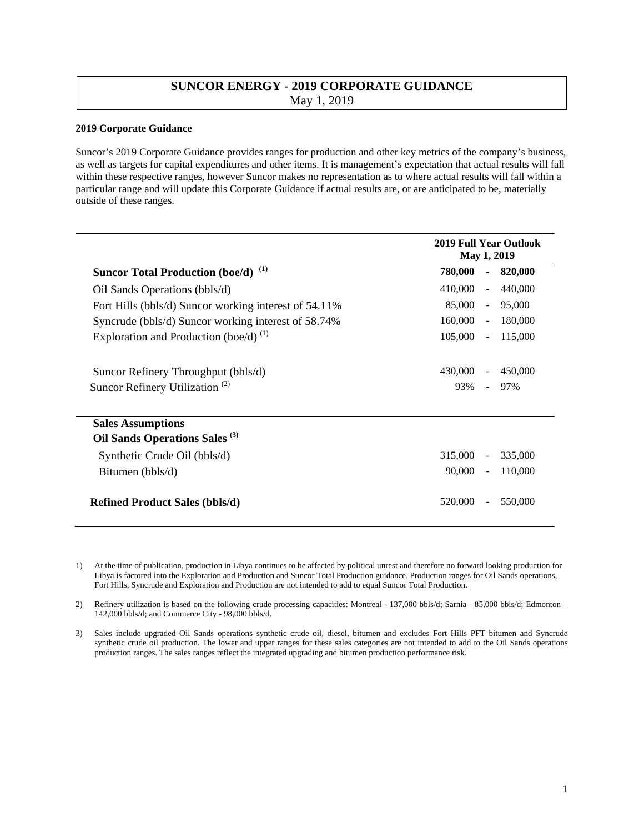## **SUNCOR ENERGY - 2019 CORPORATE GUIDANCE**  May 1, 2019

## **2019 Corporate Guidance**

Suncor's 2019 Corporate Guidance provides ranges for production and other key metrics of the company's business, as well as targets for capital expenditures and other items. It is management's expectation that actual results will fall within these respective ranges, however Suncor makes no representation as to where actual results will fall within a particular range and will update this Corporate Guidance if actual results are, or are anticipated to be, materially outside of these ranges.

|                                                                       | <b>2019 Full Year Outlook</b><br><b>May 1, 2019</b> |  |
|-----------------------------------------------------------------------|-----------------------------------------------------|--|
| $\left(1\right)$<br><b>Suncor Total Production (boe/d)</b>            | 780,000<br>820,000<br>$\blacksquare$                |  |
| Oil Sands Operations (bbls/d)                                         | 410,000<br>440,000<br>$\sim$ $-$                    |  |
| Fort Hills (bbls/d) Suncor working interest of 54.11%                 | 85,000<br>95,000<br>$\sim$ $-$                      |  |
| Syncrude (bbls/d) Suncor working interest of 58.74%                   | 160,000<br>180,000<br>$\sim$                        |  |
| Exploration and Production (boe/d) $^{(1)}$                           | 105,000<br>115,000<br>$\omega$                      |  |
| Suncor Refinery Throughput (bbls/d)                                   | 430,000<br>450,000<br>$\blacksquare$                |  |
| Suncor Refinery Utilization <sup>(2)</sup>                            | 93%<br>97%<br>$\sim$                                |  |
| <b>Sales Assumptions</b><br>Oil Sands Operations Sales <sup>(3)</sup> |                                                     |  |
| Synthetic Crude Oil (bbls/d)                                          | 315,000<br>335,000<br>$\blacksquare$                |  |
| Bitumen (bbls/d)                                                      | 90,000<br>110,000<br>$\omega$                       |  |
| <b>Refined Product Sales (bbls/d)</b>                                 | 550,000<br>520,000                                  |  |

1) At the time of publication, production in Libya continues to be affected by political unrest and therefore no forward looking production for Libya is factored into the Exploration and Production and Suncor Total Production guidance. Production ranges for Oil Sands operations, Fort Hills, Syncrude and Exploration and Production are not intended to add to equal Suncor Total Production.

2) Refinery utilization is based on the following crude processing capacities: Montreal - 137,000 bbls/d; Sarnia - 85,000 bbls/d; Edmonton – 142,000 bbls/d; and Commerce City - 98,000 bbls/d.

3) Sales include upgraded Oil Sands operations synthetic crude oil, diesel, bitumen and excludes Fort Hills PFT bitumen and Syncrude synthetic crude oil production. The lower and upper ranges for these sales categories are not intended to add to the Oil Sands operations production ranges. The sales ranges reflect the integrated upgrading and bitumen production performance risk.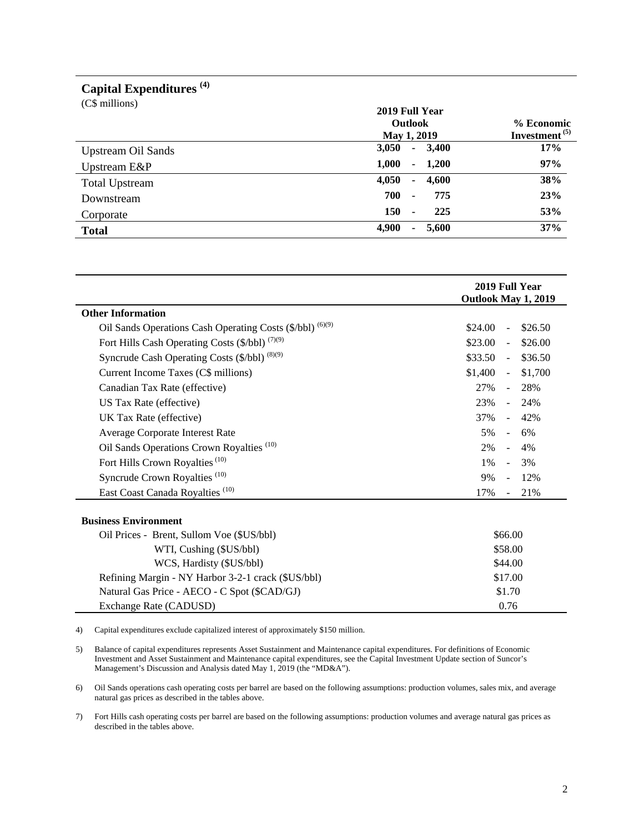## **Capital Expenditures (4)**

| (C\$ millions)            | 2019 Full Year<br>Outlook<br>May 1, 2019 | % Economic<br>Investment <sup>(5)</sup> |
|---------------------------|------------------------------------------|-----------------------------------------|
| <b>Upstream Oil Sands</b> | 3,050<br>3,400<br>$\sim$                 | 17%                                     |
| Upstream E&P              | 1,000<br>1,200<br>۰.                     | 97%                                     |
| <b>Total Upstream</b>     | 4,050<br>4,600<br>۰                      | 38%                                     |
| Downstream                | 700<br>775<br>$\blacksquare$             | 23%                                     |
| Corporate                 | 150<br>225<br>$\blacksquare$             | 53%                                     |
| <b>Total</b>              | 4,900<br>5,600                           | 37%                                     |

|                                                           | 2019 Full Year<br>Outlook May 1, 2019 |  |
|-----------------------------------------------------------|---------------------------------------|--|
| <b>Other Information</b>                                  |                                       |  |
| Oil Sands Operations Cash Operating Costs (\$/bbl) (6)(9) | \$26.50<br>\$24.00<br>$\overline{a}$  |  |
| Fort Hills Cash Operating Costs (\$/bbl) (7)(9)           | \$23.00<br>\$26.00<br>$\blacksquare$  |  |
| Syncrude Cash Operating Costs (\$/bbl) (8)(9)             | \$33.50<br>\$36.50<br>$\sim$ $-$      |  |
| Current Income Taxes (C\$ millions)                       | \$1,400<br>\$1,700<br>$\sim$ $^{-1}$  |  |
| Canadian Tax Rate (effective)                             | 27%<br>28%<br>$\Delta \phi$           |  |
| US Tax Rate (effective)                                   | 23%<br>24%<br>$\sim$ 10 $\,$          |  |
| UK Tax Rate (effective)                                   | 37%<br>42%<br>$\sim$                  |  |
| Average Corporate Interest Rate                           | 5%<br>6%<br>$\sim$                    |  |
| Oil Sands Operations Crown Royalties <sup>(10)</sup>      | 2%<br>4%<br>$\sim$                    |  |
| Fort Hills Crown Royalties <sup>(10)</sup>                | 3%<br>1%<br>$\sim$                    |  |
| Syncrude Crown Royalties <sup>(10)</sup>                  | 12%<br>9%                             |  |
| East Coast Canada Royalties <sup>(10)</sup>               | 17%<br>21%                            |  |
| <b>Business Environment</b>                               |                                       |  |
| Oil Prices - Brent, Sullom Voe (\$US/bbl)                 | \$66.00                               |  |
| WTI, Cushing (\$US/bbl)                                   | \$58.00                               |  |
| WCS, Hardisty (\$US/bbl)                                  | \$44.00                               |  |
| Refining Margin - NY Harbor 3-2-1 crack (\$US/bbl)        | \$17.00                               |  |
| Natural Gas Price - AECO - C Spot (\$CAD/GJ)              | \$1.70                                |  |

4) Capital expenditures exclude capitalized interest of approximately \$150 million.

5) Balance of capital expenditures represents Asset Sustainment and Maintenance capital expenditures. For definitions of Economic Investment and Asset Sustainment and Maintenance capital expenditures, see the Capital Investment Update section of Suncor's Management's Discussion and Analysis dated May 1, 2019 (the "MD&A").

Exchange Rate (CADUSD) 0.76

6) Oil Sands operations cash operating costs per barrel are based on the following assumptions: production volumes, sales mix, and average natural gas prices as described in the tables above.

7) Fort Hills cash operating costs per barrel are based on the following assumptions: production volumes and average natural gas prices as described in the tables above.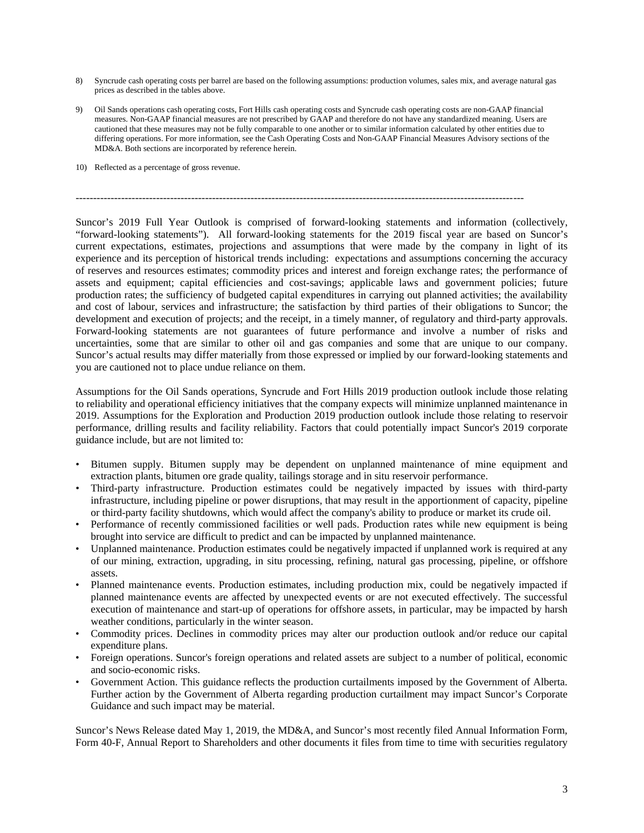- 8) Syncrude cash operating costs per barrel are based on the following assumptions: production volumes, sales mix, and average natural gas prices as described in the tables above.
- 9) Oil Sands operations cash operating costs, Fort Hills cash operating costs and Syncrude cash operating costs are non-GAAP financial measures. Non-GAAP financial measures are not prescribed by GAAP and therefore do not have any standardized meaning. Users are cautioned that these measures may not be fully comparable to one another or to similar information calculated by other entities due to differing operations. For more information, see the Cash Operating Costs and Non-GAAP Financial Measures Advisory sections of the MD&A. Both sections are incorporated by reference herein.
- 10) Reflected as a percentage of gross revenue.

--------------------------------------------------------------------------------------------------------------------------------

Suncor's 2019 Full Year Outlook is comprised of forward-looking statements and information (collectively, "forward-looking statements"). All forward-looking statements for the 2019 fiscal year are based on Suncor's current expectations, estimates, projections and assumptions that were made by the company in light of its experience and its perception of historical trends including: expectations and assumptions concerning the accuracy of reserves and resources estimates; commodity prices and interest and foreign exchange rates; the performance of assets and equipment; capital efficiencies and cost-savings; applicable laws and government policies; future production rates; the sufficiency of budgeted capital expenditures in carrying out planned activities; the availability and cost of labour, services and infrastructure; the satisfaction by third parties of their obligations to Suncor; the development and execution of projects; and the receipt, in a timely manner, of regulatory and third-party approvals. Forward-looking statements are not guarantees of future performance and involve a number of risks and uncertainties, some that are similar to other oil and gas companies and some that are unique to our company. Suncor's actual results may differ materially from those expressed or implied by our forward-looking statements and you are cautioned not to place undue reliance on them.

Assumptions for the Oil Sands operations, Syncrude and Fort Hills 2019 production outlook include those relating to reliability and operational efficiency initiatives that the company expects will minimize unplanned maintenance in 2019. Assumptions for the Exploration and Production 2019 production outlook include those relating to reservoir performance, drilling results and facility reliability. Factors that could potentially impact Suncor's 2019 corporate guidance include, but are not limited to:

- Bitumen supply. Bitumen supply may be dependent on unplanned maintenance of mine equipment and extraction plants, bitumen ore grade quality, tailings storage and in situ reservoir performance.
- Third-party infrastructure. Production estimates could be negatively impacted by issues with third-party infrastructure, including pipeline or power disruptions, that may result in the apportionment of capacity, pipeline or third-party facility shutdowns, which would affect the company's ability to produce or market its crude oil.
- Performance of recently commissioned facilities or well pads. Production rates while new equipment is being brought into service are difficult to predict and can be impacted by unplanned maintenance.
- Unplanned maintenance. Production estimates could be negatively impacted if unplanned work is required at any of our mining, extraction, upgrading, in situ processing, refining, natural gas processing, pipeline, or offshore assets.
- Planned maintenance events. Production estimates, including production mix, could be negatively impacted if planned maintenance events are affected by unexpected events or are not executed effectively. The successful execution of maintenance and start-up of operations for offshore assets, in particular, may be impacted by harsh weather conditions, particularly in the winter season.
- Commodity prices. Declines in commodity prices may alter our production outlook and/or reduce our capital expenditure plans.
- Foreign operations. Suncor's foreign operations and related assets are subject to a number of political, economic and socio-economic risks.
- Government Action. This guidance reflects the production curtailments imposed by the Government of Alberta. Further action by the Government of Alberta regarding production curtailment may impact Suncor's Corporate Guidance and such impact may be material.

Suncor's News Release dated May 1, 2019, the MD&A, and Suncor's most recently filed Annual Information Form, Form 40-F, Annual Report to Shareholders and other documents it files from time to time with securities regulatory